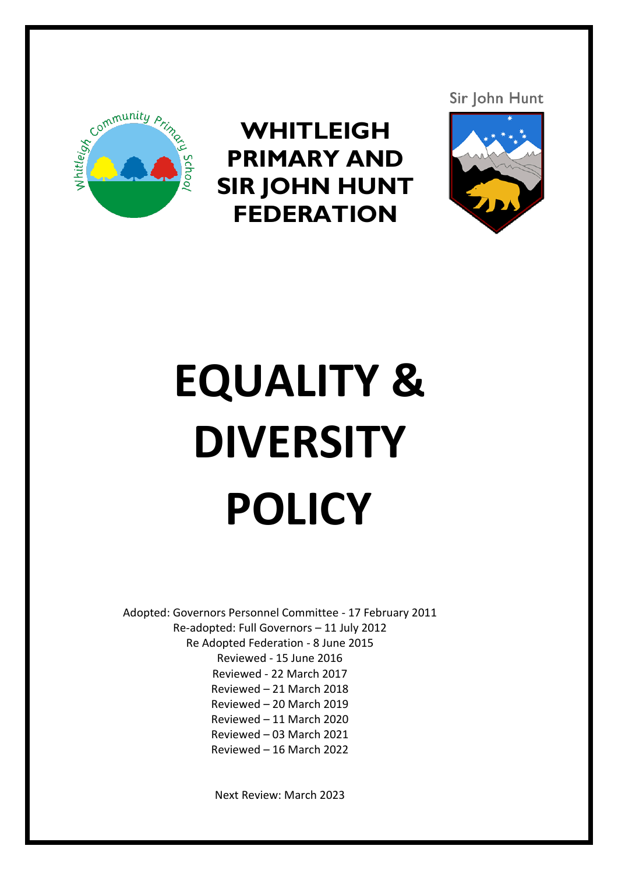

**WHITLEIGH PRIMARY AND SIR JOHN HUNT FEDERATION**



# **EQUALITY & DIVERSITY POLICY**

Adopted: Governors Personnel Committee - 17 February 2011 Re-adopted: Full Governors – 11 July 2012 Re Adopted Federation - 8 June 2015 Reviewed - 15 June 2016 Reviewed - 22 March 2017 Reviewed – 21 March 2018 Reviewed – 20 March 2019 Reviewed – 11 March 2020 Reviewed – 03 March 2021 Reviewed – 16 March 2022

Next Review: March 2023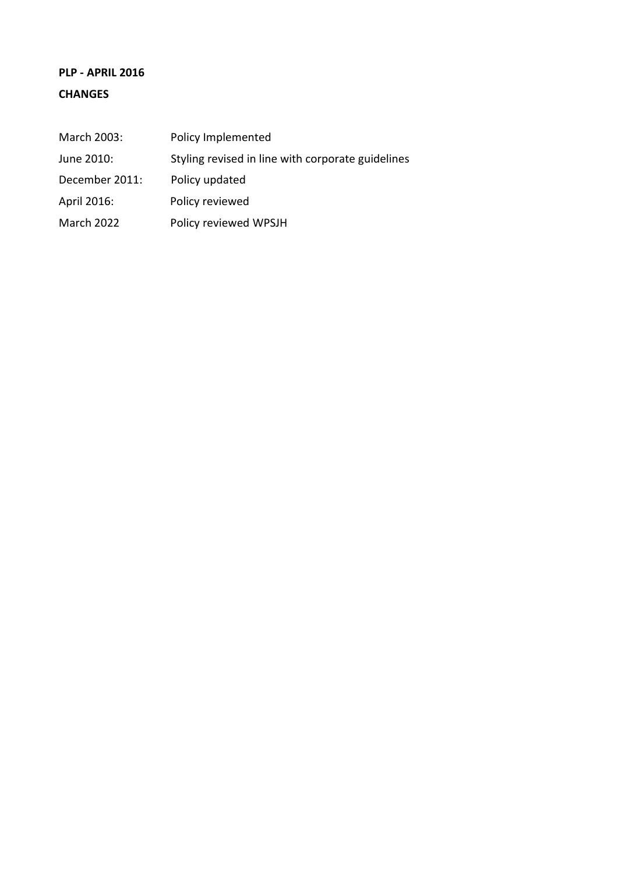## **PLP - APRIL 2016 CHANGES**

| March 2003:       | Policy Implemented                                |
|-------------------|---------------------------------------------------|
| June 2010:        | Styling revised in line with corporate guidelines |
| December 2011:    | Policy updated                                    |
| April 2016:       | Policy reviewed                                   |
| <b>March 2022</b> | Policy reviewed WPSJH                             |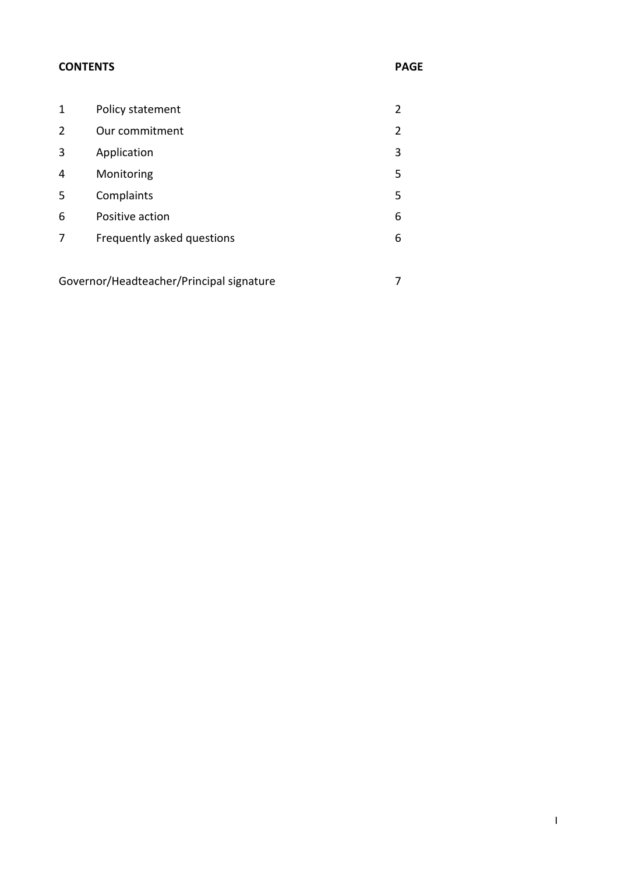#### **CONTENTS PAGE**

| 1                                        | Policy statement           | 2 |
|------------------------------------------|----------------------------|---|
| 2                                        | Our commitment             | 2 |
| 3                                        | Application                | 3 |
| 4                                        | Monitoring                 | 5 |
| 5                                        | Complaints                 | 5 |
| 6                                        | Positive action            | 6 |
| 7                                        | Frequently asked questions | 6 |
|                                          |                            |   |
| Governor/Headteacher/Principal signature |                            | 7 |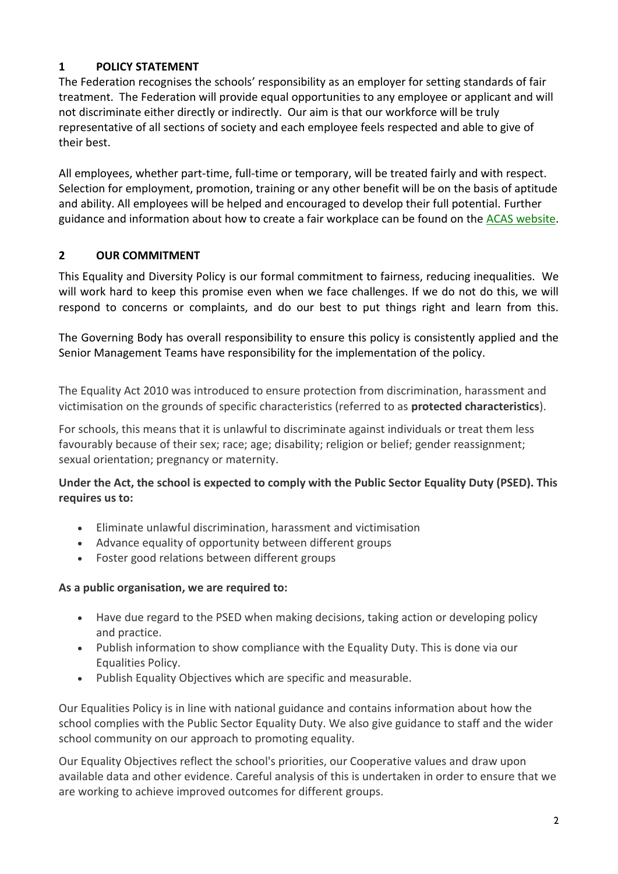## **1 POLICY STATEMENT**

The Federation recognises the schools' responsibility as an employer for setting standards of fair treatment. The Federation will provide equal opportunities to any employee or applicant and will not discriminate either directly or indirectly. Our aim is that our workforce will be truly representative of all sections of society and each employee feels respected and able to give of their best.

All employees, whether part-time, full-time or temporary, will be treated fairly and with respect. Selection for employment, promotion, training or any other benefit will be on the basis of aptitude and ability. All employees will be helped and encouraged to develop their full potential. Further guidance and information about how to create a fair workplace can be found on the [ACAS website.](http://www.acas.org.uk/index.aspx?articleid=1363)

## **2 OUR COMMITMENT**

This Equality and Diversity Policy is our formal commitment to fairness, reducing inequalities. We will work hard to keep this promise even when we face challenges. If we do not do this, we will respond to concerns or complaints, and do our best to put things right and learn from this.

The Governing Body has overall responsibility to ensure this policy is consistently applied and the Senior Management Teams have responsibility for the implementation of the policy.

The Equality Act 2010 was introduced to ensure protection from discrimination, harassment and victimisation on the grounds of specific characteristics (referred to as **protected characteristics**).

For schools, this means that it is unlawful to discriminate against individuals or treat them less favourably because of their sex; race; age; disability; religion or belief; gender reassignment; sexual orientation; pregnancy or maternity.

#### **Under the Act, the school is expected to comply with the Public Sector Equality Duty (PSED). This requires us to:**

- Eliminate unlawful discrimination, harassment and victimisation
- Advance equality of opportunity between different groups
- Foster good relations between different groups

#### **As a public organisation, we are required to:**

- Have due regard to the PSED when making decisions, taking action or developing policy and practice.
- Publish information to show compliance with the Equality Duty. This is done via our Equalities Policy.
- Publish Equality Objectives which are specific and measurable.

Our Equalities Policy is in line with national guidance and contains information about how the school complies with the Public Sector Equality Duty. We also give guidance to staff and the wider school community on our approach to promoting equality.

Our Equality Objectives reflect the school's priorities, our Cooperative values and draw upon available data and other evidence. Careful analysis of this is undertaken in order to ensure that we are working to achieve improved outcomes for different groups.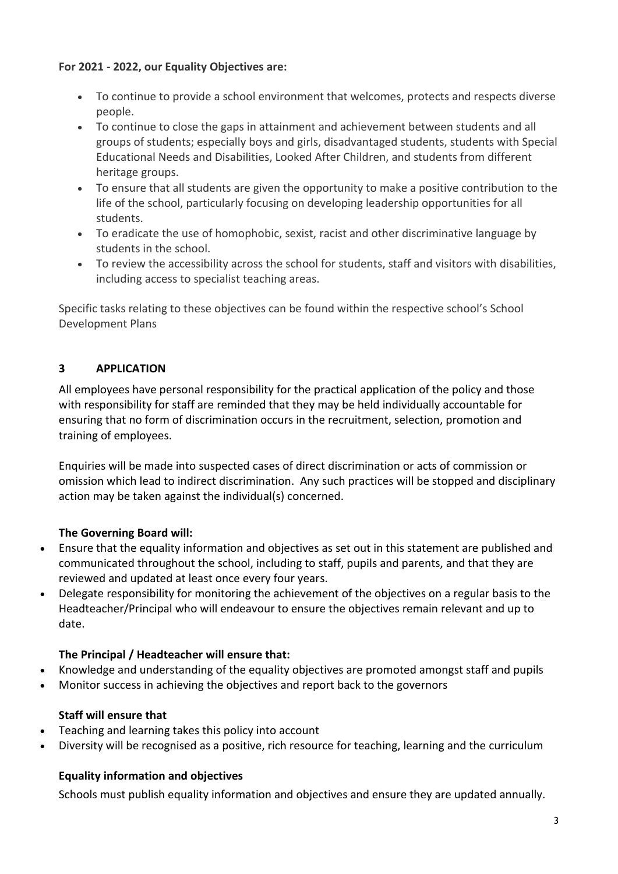#### **For 2021 - 2022, our Equality Objectives are:**

- To continue to provide a school environment that welcomes, protects and respects diverse people.
- To continue to close the gaps in attainment and achievement between students and all groups of students; especially boys and girls, disadvantaged students, students with Special Educational Needs and Disabilities, Looked After Children, and students from different heritage groups.
- To ensure that all students are given the opportunity to make a positive contribution to the life of the school, particularly focusing on developing leadership opportunities for all students.
- To eradicate the use of homophobic, sexist, racist and other discriminative language by students in the school.
- To review the accessibility across the school for students, staff and visitors with disabilities, including access to specialist teaching areas.

Specific tasks relating to these objectives can be found within the respective school's School Development Plans

## **3 APPLICATION**

All employees have personal responsibility for the practical application of the policy and those with responsibility for staff are reminded that they may be held individually accountable for ensuring that no form of discrimination occurs in the recruitment, selection, promotion and training of employees.

Enquiries will be made into suspected cases of direct discrimination or acts of commission or omission which lead to indirect discrimination. Any such practices will be stopped and disciplinary action may be taken against the individual(s) concerned.

## **The Governing Board will:**

- Ensure that the equality information and objectives as set out in this statement are published and communicated throughout the school, including to staff, pupils and parents, and that they are reviewed and updated at least once every four years.
- Delegate responsibility for monitoring the achievement of the objectives on a regular basis to the Headteacher/Principal who will endeavour to ensure the objectives remain relevant and up to date.

## **The Principal / Headteacher will ensure that:**

- Knowledge and understanding of the equality objectives are promoted amongst staff and pupils
- Monitor success in achieving the objectives and report back to the governors

## **Staff will ensure that**

- Teaching and learning takes this policy into account
- Diversity will be recognised as a positive, rich resource for teaching, learning and the curriculum

## **Equality information and objectives**

Schools must publish equality information and objectives and ensure they are updated annually.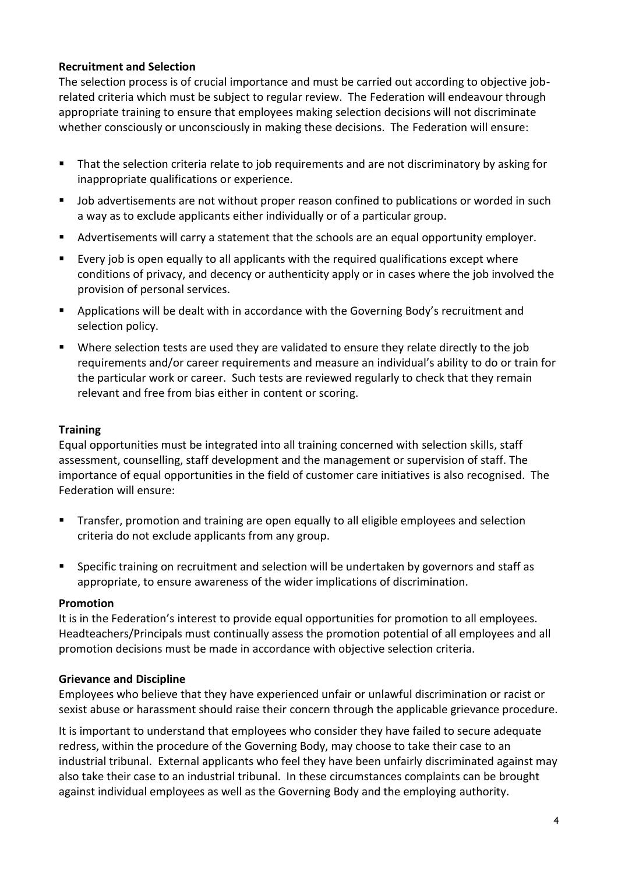#### **Recruitment and Selection**

The selection process is of crucial importance and must be carried out according to objective jobrelated criteria which must be subject to regular review. The Federation will endeavour through appropriate training to ensure that employees making selection decisions will not discriminate whether consciously or unconsciously in making these decisions. The Federation will ensure:

- That the selection criteria relate to job requirements and are not discriminatory by asking for inappropriate qualifications or experience.
- Job advertisements are not without proper reason confined to publications or worded in such a way as to exclude applicants either individually or of a particular group.
- Advertisements will carry a statement that the schools are an equal opportunity employer.
- Every job is open equally to all applicants with the required qualifications except where conditions of privacy, and decency or authenticity apply or in cases where the job involved the provision of personal services.
- Applications will be dealt with in accordance with the Governing Body's recruitment and selection policy.
- Where selection tests are used they are validated to ensure they relate directly to the job requirements and/or career requirements and measure an individual's ability to do or train for the particular work or career. Such tests are reviewed regularly to check that they remain relevant and free from bias either in content or scoring.

#### **Training**

Equal opportunities must be integrated into all training concerned with selection skills, staff assessment, counselling, staff development and the management or supervision of staff. The importance of equal opportunities in the field of customer care initiatives is also recognised. The Federation will ensure:

- **■** Transfer, promotion and training are open equally to all eligible employees and selection criteria do not exclude applicants from any group.
- Specific training on recruitment and selection will be undertaken by governors and staff as appropriate, to ensure awareness of the wider implications of discrimination.

#### **Promotion**

It is in the Federation's interest to provide equal opportunities for promotion to all employees. Headteachers/Principals must continually assess the promotion potential of all employees and all promotion decisions must be made in accordance with objective selection criteria.

#### **Grievance and Discipline**

Employees who believe that they have experienced unfair or unlawful discrimination or racist or sexist abuse or harassment should raise their concern through the applicable grievance procedure.

It is important to understand that employees who consider they have failed to secure adequate redress, within the procedure of the Governing Body, may choose to take their case to an industrial tribunal. External applicants who feel they have been unfairly discriminated against may also take their case to an industrial tribunal. In these circumstances complaints can be brought against individual employees as well as the Governing Body and the employing authority.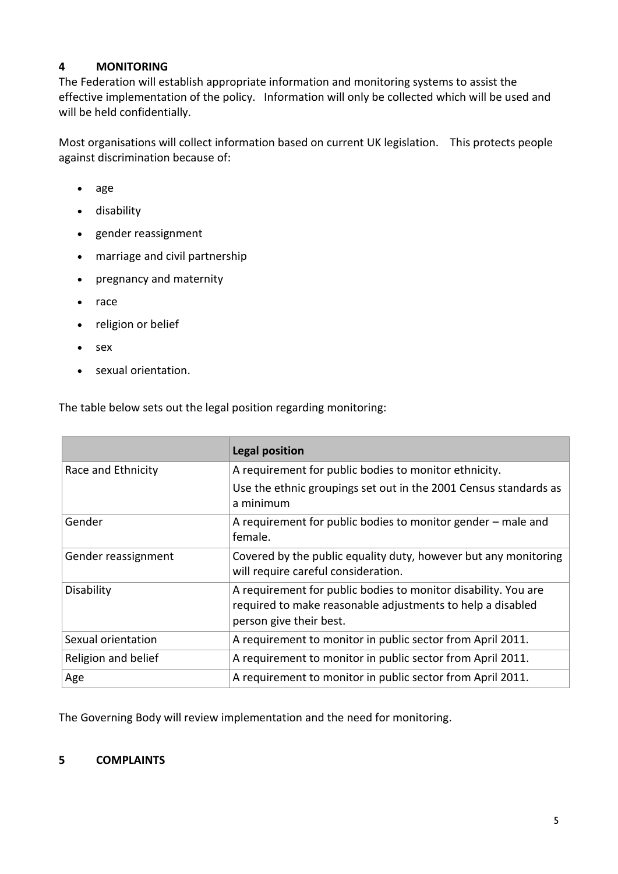#### **4 MONITORING**

The Federation will establish appropriate information and monitoring systems to assist the effective implementation of the policy. Information will only be collected which will be used and will be held confidentially.

Most organisations will collect information based on current UK legislation. This protects people against discrimination because of:

- [age](http://www.acas.org.uk/index.aspx?articleid=1841)
- [disability](http://www.acas.org.uk/index.aspx?articleid=1859)
- [gender reassignment](http://www.acas.org.uk/index.aspx?articleid=2064)
- [marriage and civil partnership](http://www.acas.org.uk/index.aspx?articleid=1831)
- [pregnancy and maternity](http://www.acas.org.uk/index.aspx?articleid=5271)
- [race](http://www.acas.org.uk/index.aspx?articleid=1849)
- [religion or belief](http://www.acas.org.uk/index.aspx?articleid=1856)
- [sex](http://www.acas.org.uk/index.aspx?articleid=1814)
- [sexual orientation.](http://www.acas.org.uk/index.aspx?articleid=1824)

The table below sets out the legal position regarding monitoring:

|                     | <b>Legal position</b>                                                                                                                                   |
|---------------------|---------------------------------------------------------------------------------------------------------------------------------------------------------|
| Race and Ethnicity  | A requirement for public bodies to monitor ethnicity.                                                                                                   |
|                     | Use the ethnic groupings set out in the 2001 Census standards as<br>a minimum                                                                           |
| Gender              | A requirement for public bodies to monitor gender - male and<br>female.                                                                                 |
| Gender reassignment | Covered by the public equality duty, however but any monitoring<br>will require careful consideration.                                                  |
| Disability          | A requirement for public bodies to monitor disability. You are<br>required to make reasonable adjustments to help a disabled<br>person give their best. |
| Sexual orientation  | A requirement to monitor in public sector from April 2011.                                                                                              |
| Religion and belief | A requirement to monitor in public sector from April 2011.                                                                                              |
| Age                 | A requirement to monitor in public sector from April 2011.                                                                                              |

The Governing Body will review implementation and the need for monitoring.

#### **5 COMPLAINTS**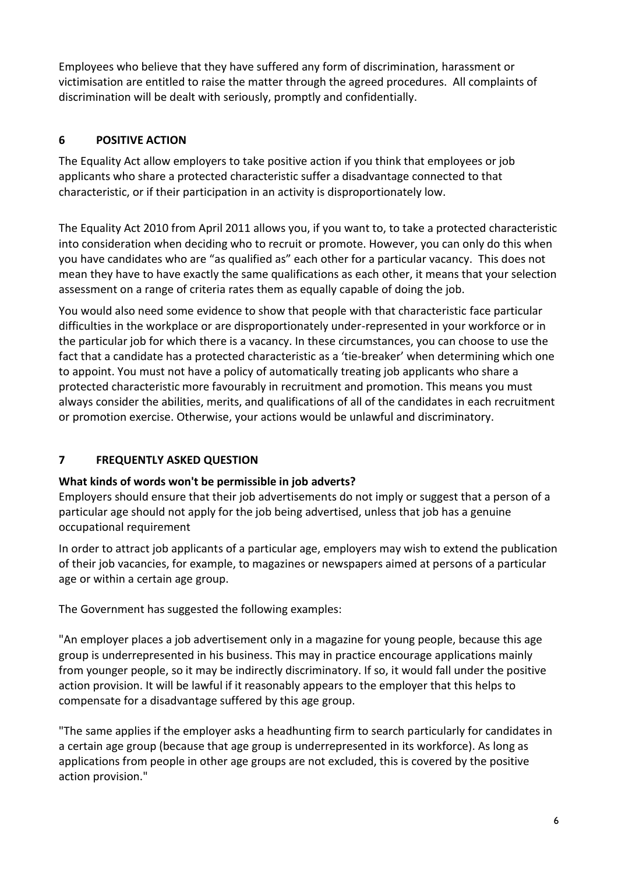Employees who believe that they have suffered any form of discrimination, harassment or victimisation are entitled to raise the matter through the agreed procedures. All complaints of discrimination will be dealt with seriously, promptly and confidentially.

## **6 POSITIVE ACTION**

The Equality Act allow employers to take positive action if you think that employees or job applicants who share a protected characteristic suffer a disadvantage connected to that characteristic, or if their participation in an activity is disproportionately low.

The Equality Act 2010 from April 2011 allows you, if you want to, to take a protected characteristic into consideration when deciding who to recruit or promote. However, you can only do this when you have candidates who are "as qualified as" each other for a particular vacancy. This does not mean they have to have exactly the same qualifications as each other, it means that your selection assessment on a range of criteria rates them as equally capable of doing the job.

You would also need some evidence to show that people with that characteristic face particular difficulties in the workplace or are disproportionately under-represented in your workforce or in the particular job for which there is a vacancy. In these circumstances, you can choose to use the fact that a candidate has a protected characteristic as a 'tie-breaker' when determining which one to appoint. You must not have a policy of automatically treating job applicants who share a protected characteristic more favourably in recruitment and promotion. This means you must always consider the abilities, merits, and qualifications of all of the candidates in each recruitment or promotion exercise. Otherwise, your actions would be unlawful and discriminatory.

## **7 FREQUENTLY ASKED QUESTION**

## **What kinds of words won't be permissible in job adverts?**

Employers should ensure that their job advertisements do not imply or suggest that a person of a particular age should not apply for the job being advertised, unless that job has a genuine occupational requirement

In order to attract job applicants of a particular age, employers may wish to extend the publication of their job vacancies, for example, to magazines or newspapers aimed at persons of a particular age or within a certain age group.

The Government has suggested the following examples:

"An employer places a job advertisement only in a magazine for young people, because this age group is underrepresented in his business. This may in practice encourage applications mainly from younger people, so it may be indirectly discriminatory. If so, it would fall under the positive action provision. It will be lawful if it reasonably appears to the employer that this helps to compensate for a disadvantage suffered by this age group.

"The same applies if the employer asks a headhunting firm to search particularly for candidates in a certain age group (because that age group is underrepresented in its workforce). As long as applications from people in other age groups are not excluded, this is covered by the positive action provision."